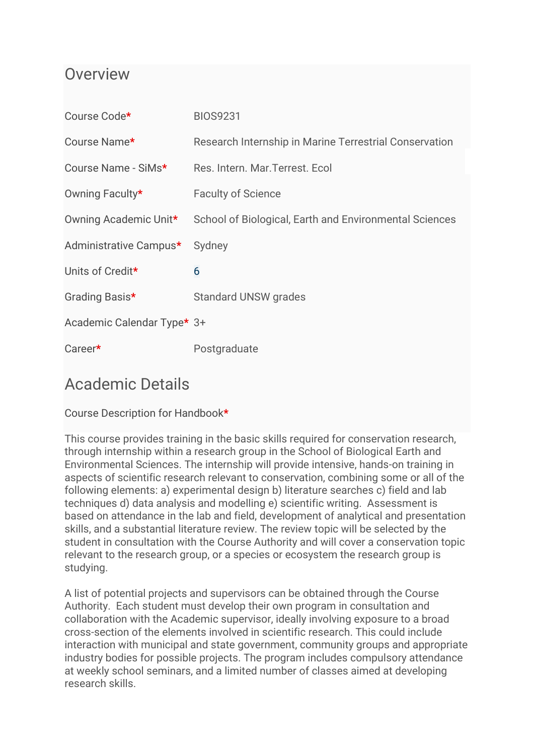#### **Overview**

| Course Code*               | <b>BIOS9231</b>                                        |  |
|----------------------------|--------------------------------------------------------|--|
| Course Name*               | Research Internship in Marine Terrestrial Conservation |  |
| Course Name - SiMs*        | Res. Intern. Mar. Terrest. Ecol                        |  |
| Owning Faculty*            | <b>Faculty of Science</b>                              |  |
| Owning Academic Unit*      | School of Biological, Earth and Environmental Sciences |  |
| Administrative Campus*     | Sydney                                                 |  |
| Units of Credit*           | 6                                                      |  |
| Grading Basis*             | <b>Standard UNSW grades</b>                            |  |
| Academic Calendar Type* 3+ |                                                        |  |
| Career*                    | Postgraduate                                           |  |

# Academic Details

Course Description for Handbook**\***

This course provides training in the basic skills required for conservation research, through internship within a research group in the School of Biological Earth and Environmental Sciences. The internship will provide intensive, hands-on training in aspects of scientific research relevant to conservation, combining some or all of the following elements: a) experimental design b) literature searches c) field and lab techniques d) data analysis and modelling e) scientific writing. Assessment is based on attendance in the lab and field, development of analytical and presentation skills, and a substantial literature review. The review topic will be selected by the student in consultation with the Course Authority and will cover a conservation topic relevant to the research group, or a species or ecosystem the research group is studying.

A list of potential projects and supervisors can be obtained through the Course Authority. Each student must develop their own program in consultation and collaboration with the Academic supervisor, ideally involving exposure to a broad cross-section of the elements involved in scientific research. This could include interaction with municipal and state government, community groups and appropriate industry bodies for possible projects. The program includes compulsory attendance at weekly school seminars, and a limited number of classes aimed at developing research skills.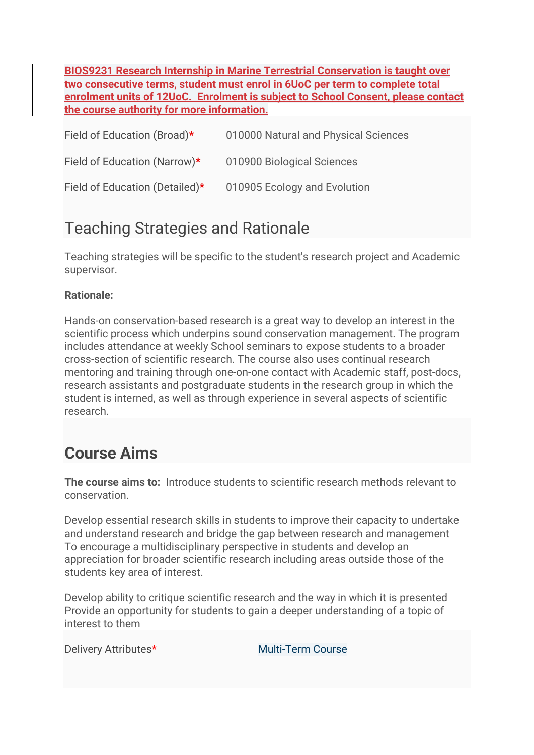**BIOS9231 Research Internship in Marine Terrestrial Conservation is taught over two consecutive terms, student must enrol in 6UoC per term to complete total enrolment units of 12UoC. Enrolment is subject to School Consent, please contact the course authority for more information.**

| Field of Education (Broad)*    | 010000 Natural and Physical Sciences |
|--------------------------------|--------------------------------------|
| Field of Education (Narrow)*   | 010900 Biological Sciences           |
| Field of Education (Detailed)* | 010905 Ecology and Evolution         |

## Teaching Strategies and Rationale

Teaching strategies will be specific to the student's research project and Academic supervisor.

#### **Rationale:**

Hands-on conservation-based research is a great way to develop an interest in the scientific process which underpins sound conservation management. The program includes attendance at weekly School seminars to expose students to a broader cross-section of scientific research. The course also uses continual research mentoring and training through one-on-one contact with Academic staff, post-docs, research assistants and postgraduate students in the research group in which the student is interned, as well as through experience in several aspects of scientific research.

## **Course Aims**

**The course aims to:** Introduce students to scientific research methods relevant to conservation.

Develop essential research skills in students to improve their capacity to undertake and understand research and bridge the gap between research and management To encourage a multidisciplinary perspective in students and develop an appreciation for broader scientific research including areas outside those of the students key area of interest.

Develop ability to critique scientific research and the way in which it is presented Provide an opportunity for students to gain a deeper understanding of a topic of interest to them

Delivery Attributes\* Multi-Term Course